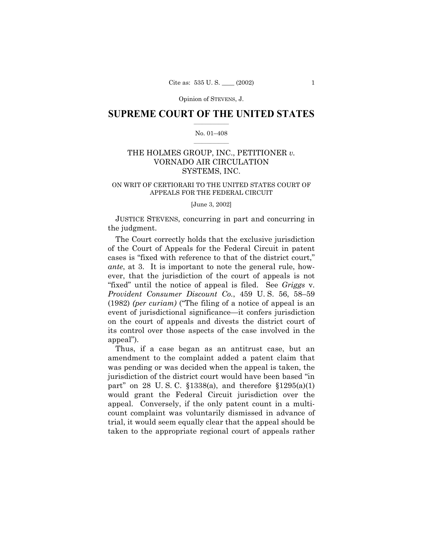Opinion of STEVENS, J.

### **SUPREME COURT OF THE UNITED STATES**  $\mathcal{L}=\mathcal{L}^{\mathcal{L}}$

### No. 01-408  $\mathcal{L}=\mathcal{L}^{\mathcal{L}}$

# THE HOLMES GROUP, INC., PETITIONER *v.* VORNADO AIR CIRCULATION SYSTEMS, INC.

## ON WRIT OF CERTIORARI TO THE UNITED STATES COURT OF APPEALS FOR THE FEDERAL CIRCUIT

[June 3, 2002]

JUSTICE STEVENS, concurring in part and concurring in the judgment.

The Court correctly holds that the exclusive jurisdiction of the Court of Appeals for the Federal Circuit in patent cases is "fixed with reference to that of the district court," *ante*, at 3. It is important to note the general rule, however, that the jurisdiction of the court of appeals is not ìfixedî until the notice of appeal is filed. See *Griggs* v. *Provident Consumer Discount Co., 459 U.S. 56, 58-59*  $(1982)$  *(per curiam)* ("The filing of a notice of appeal is an event of jurisdictional significance—it confers jurisdiction on the court of appeals and divests the district court of its control over those aspects of the case involved in the appeal").

Thus, if a case began as an antitrust case, but an amendment to the complaint added a patent claim that was pending or was decided when the appeal is taken, the jurisdiction of the district court would have been based "in part" on 28 U.S.C.  $$1338(a)$ , and therefore  $$1295(a)(1)$ would grant the Federal Circuit jurisdiction over the appeal. Conversely, if the only patent count in a multicount complaint was voluntarily dismissed in advance of trial, it would seem equally clear that the appeal should be taken to the appropriate regional court of appeals rather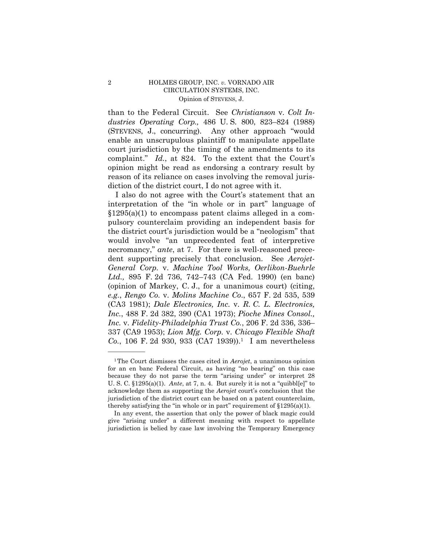# HOLMES GROUP, INC. v. VORNADO AIR CIRCULATION SYSTEMS, INC. Opinion of STEVENS, J.

than to the Federal Circuit. See Christianson v. Colt Industries Operating Corp., 486 U.S. 800, 823-824 (1988) (STEVENS, J., concurring). Any other approach "would enable an unscrupulous plaintiff to manipulate appellate court jurisdiction by the timing of the amendments to its complaint." Id., at 824. To the extent that the Court's opinion might be read as endorsing a contrary result by reason of its reliance on cases involving the removal jurisdiction of the district court, I do not agree with it.

I also do not agree with the Court's statement that an interpretation of the "in whole or in part" language of  $\S1295(a)(1)$  to encompass patent claims alleged in a compulsory counterclaim providing an independent basis for the district court's jurisdiction would be a "neologism" that would involve "an unprecedented feat of interpretive necromancy," ante, at 7. For there is well-reasoned precedent supporting precisely that conclusion. See Aerojet-General Corp. v. Machine Tool Works, Oerlikon-Buehrle Ltd., 895 F. 2d 736, 742–743 (CA Fed. 1990) (en banc) (opinion of Markey, C. J., for a unanimous court) (citing, e.g., Rengo Co. v. Molins Machine Co., 657 F. 2d 535, 539 (CA3 1981); Dale Electronics, Inc. v. R. C. L. Electronics, *Inc.*, 488 F. 2d 382, 390 (CA1 1973); *Pioche Mines Consol.*, Inc. v. Fidelity-Philadelphia Trust Co., 206 F. 2d 336, 336– 337 (CA9 1953); Lion Mfg. Corp. v. Chicago Flexible Shaft Co., 106 F. 2d 930, 933 (CA7 1939)).<sup>1</sup> I am nevertheless

 $\sqrt{2}$ 

<sup>&</sup>lt;sup>1</sup>The Court dismisses the cases cited in  $Aerojet$ , a unanimous opinion for an en banc Federal Circuit, as having "no bearing" on this case because they do not parse the term "arising under" or interpret 28 U. S. C.  $$1295(a)(1)$ . Ante, at 7, n. 4. But surely it is not a "quibbl[e]" to acknowledge them as supporting the Aerojet court's conclusion that the jurisdiction of the district court can be based on a patent counterclaim, thereby satisfying the "in whole or in part" requirement of  $$1295(a)(1)$ .

In any event, the assertion that only the power of black magic could give "arising under" a different meaning with respect to appellate jurisdiction is belied by case law involving the Temporary Emergency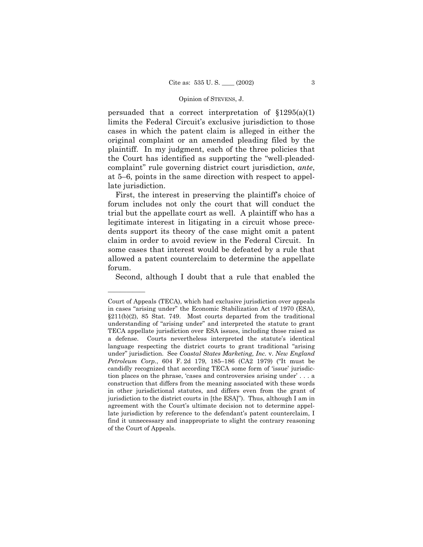### Opinion of STEVENS, J.

persuaded that a correct interpretation of  $\{1295(a)(1)$ limits the Federal Circuit's exclusive jurisdiction to those cases in which the patent claim is alleged in either the original complaint or an amended pleading filed by the plaintiff. In my judgment, each of the three policies that the Court has identified as supporting the "well-pleadedcomplaintî rule governing district court jurisdiction, *ante*, at  $5-6$ , points in the same direction with respect to appellate jurisdiction.

First, the interest in preserving the plaintiff's choice of forum includes not only the court that will conduct the trial but the appellate court as well. A plaintiff who has a legitimate interest in litigating in a circuit whose precedents support its theory of the case might omit a patent claim in order to avoid review in the Federal Circuit. In some cases that interest would be defeated by a rule that allowed a patent counterclaim to determine the appellate forum.

Second, although I doubt that a rule that enabled the

Court of Appeals (TECA), which had exclusive jurisdiction over appeals in cases "arising under" the Economic Stabilization Act of 1970 (ESA),  $§211(b)(2)$ , 85 Stat. 749. Most courts departed from the traditional understanding of "arising under" and interpreted the statute to grant TECA appellate jurisdiction over ESA issues, including those raised as a defense. Courts nevertheless interpreted the statute's identical language respecting the district courts to grant traditional "arising" underî jurisdiction. See *Coastal States Marketing, Inc.* v. *New England Petroleum Corp.*, 604 F. 2d 179, 185-186 (CA2 1979) ("It must be candidly recognized that according TECA some form of 'issue' jurisdiction places on the phrase, 'cases and controversies arising under' . . . a construction that differs from the meaning associated with these words in other jurisdictional statutes, and differs even from the grant of jurisdiction to the district courts in [the ESA]"). Thus, although I am in agreement with the Court's ultimate decision not to determine appellate jurisdiction by reference to the defendant's patent counterclaim, I find it unnecessary and inappropriate to slight the contrary reasoning of the Court of Appeals.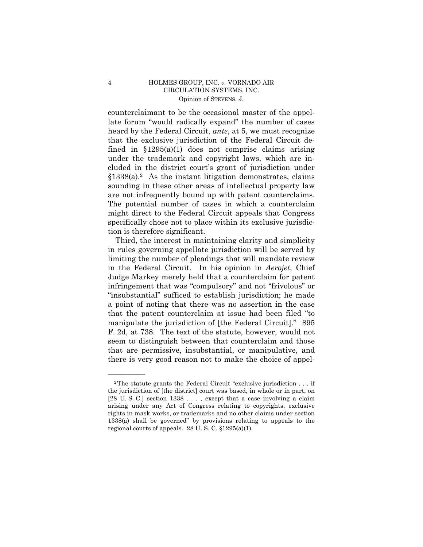## 4 HOLMES GROUP, INC. *v.* VORNADO AIR CIRCULATION SYSTEMS, INC. Opinion of STEVENS, J.

counterclaimant to be the occasional master of the appellate forum "would radically expand" the number of cases heard by the Federal Circuit, *ante*, at 5, we must recognize that the exclusive jurisdiction of the Federal Circuit defined in  $$1295(a)(1)$  does not comprise claims arising under the trademark and copyright laws, which are included in the district court's grant of jurisdiction under  $§1338(a).<sup>2</sup>$  As the instant litigation demonstrates, claims sounding in these other areas of intellectual property law are not infrequently bound up with patent counterclaims. The potential number of cases in which a counterclaim might direct to the Federal Circuit appeals that Congress specifically chose not to place within its exclusive jurisdiction is therefore significant.

Third, the interest in maintaining clarity and simplicity in rules governing appellate jurisdiction will be served by limiting the number of pleadings that will mandate review in the Federal Circuit. In his opinion in *Aerojet*, Chief Judge Markey merely held that a counterclaim for patent infringement that was "compulsory" and not "frivolous" or "insubstantial" sufficed to establish jurisdiction; he made a point of noting that there was no assertion in the case that the patent counterclaim at issue had been filed "to" manipulate the jurisdiction of [the Federal Circuit]." 895 F. 2d, at 738. The text of the statute, however, would not seem to distinguish between that counterclaim and those that are permissive, insubstantial, or manipulative, and there is very good reason not to make the choice of appel-

<sup>&</sup>lt;sup>2</sup>The statute grants the Federal Circuit "exclusive jurisdiction  $\dots$  if the jurisdiction of [the district] court was based, in whole or in part, on [28 U. S. C.] section 1338 . . . , except that a case involving a claim arising under any Act of Congress relating to copyrights, exclusive rights in mask works, or trademarks and no other claims under section  $1338(a)$  shall be governed" by provisions relating to appeals to the regional courts of appeals. 28 U. S. C. ß1295(a)(1).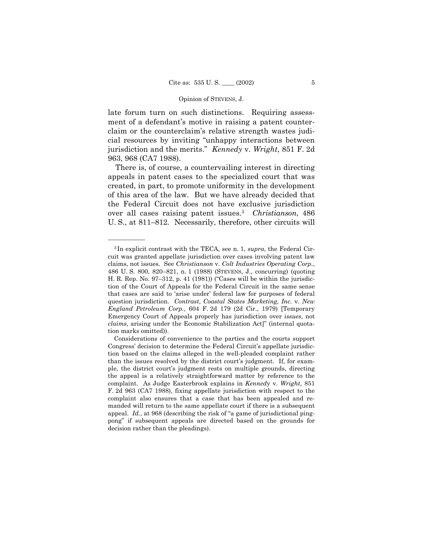### Opinion of STEVENS, J.

late forum turn on such distinctions. Requiring assessment of a defendant's motive in raising a patent counterclaim or the counterclaimís relative strength wastes judicial resources by inviting "unhappy interactions between jurisdiction and the merits.î *Kennedy* v. *Wright*, 851 F. 2d 963, 968 (CA7 1988).

There is, of course, a countervailing interest in directing appeals in patent cases to the specialized court that was created, in part, to promote uniformity in the development of this area of the law. But we have already decided that the Federal Circuit does not have exclusive jurisdiction over all cases raising patent issues.3 *Christianson*, 486 U. S., at 811–812. Necessarily, therefore, other circuits will

<sup>3</sup> In explicit contrast with the TECA, see n. 1, *supra*, the Federal Circuit was granted appellate jurisdiction over cases involving patent law claims, not issues. See *Christianson* v. *Colt Industries Operating Corp.*, 486 U.S. 800, 820–821, n. 1 (1988) (STEVENS, J., concurring) (quoting H. R. Rep. No.  $97-312$ , p. 41 (1981)) ("Cases will be within the jurisdiction of the Court of Appeals for the Federal Circuit in the same sense that cases are said to 'arise under' federal law for purposes of federal question jurisdiction. *Contrast*, *Coastal States Marketing, Inc.* v. *New England Petroleum Corp.*, 604 F. 2d 179 (2d Cir., 1979) [Temporary Emergency Court of Appeals properly has jurisdiction over *issues*, not *claims*, arising under the Economic Stabilization Act]" (internal quotation marks omitted)).

Considerations of convenience to the parties and the courts support Congress' decision to determine the Federal Circuit's appellate jurisdiction based on the claims alleged in the well-pleaded complaint rather than the issues resolved by the district court's judgment. If, for example, the district court's judgment rests on multiple grounds, directing the appeal is a relatively straightforward matter by reference to the complaint. As Judge Easterbrook explains in *Kenned*y v. *Wright*, 851 F. 2d 963 (CA7 1988), fixing appellate jurisdiction with respect to the complaint also ensures that a case that has been appealed and remanded will return to the same appellate court if there is a subsequent appeal. *Id.*, at 968 (describing the risk of "a game of jurisdictional pingpongî if subsequent appeals are directed based on the grounds for decision rather than the pleadings).